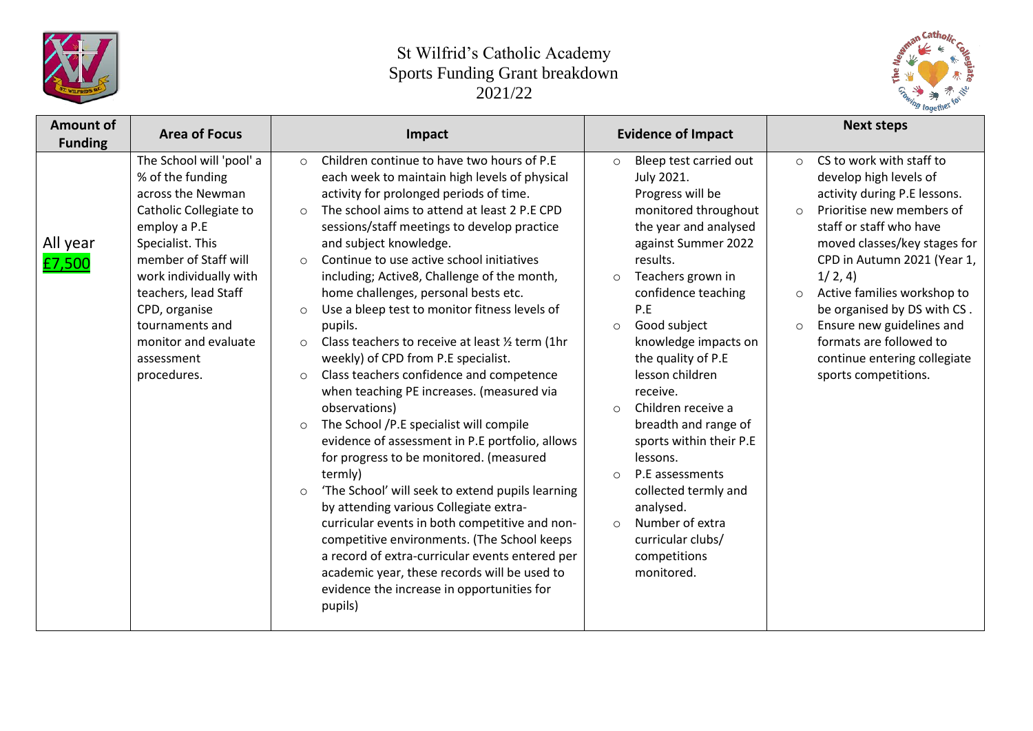



| <b>Amount of</b><br><b>Funding</b> | <b>Area of Focus</b>                                                                                                                                                                                                                                                                               | Impact                                                                                                                                                                                                                                                                                                                                                                                                                                                                                                                                                                                                                                                                                                                                                                                                                                                                                                                                                                                                                                                                                                                                                                                                                                                                      | <b>Evidence of Impact</b>                                                                                                                                                                                                                                                                                                                                                                                                                                                                                                                                                          | <b>Next steps</b>                                                                                                                                                                                                                                                                                                                                                                                                                              |  |
|------------------------------------|----------------------------------------------------------------------------------------------------------------------------------------------------------------------------------------------------------------------------------------------------------------------------------------------------|-----------------------------------------------------------------------------------------------------------------------------------------------------------------------------------------------------------------------------------------------------------------------------------------------------------------------------------------------------------------------------------------------------------------------------------------------------------------------------------------------------------------------------------------------------------------------------------------------------------------------------------------------------------------------------------------------------------------------------------------------------------------------------------------------------------------------------------------------------------------------------------------------------------------------------------------------------------------------------------------------------------------------------------------------------------------------------------------------------------------------------------------------------------------------------------------------------------------------------------------------------------------------------|------------------------------------------------------------------------------------------------------------------------------------------------------------------------------------------------------------------------------------------------------------------------------------------------------------------------------------------------------------------------------------------------------------------------------------------------------------------------------------------------------------------------------------------------------------------------------------|------------------------------------------------------------------------------------------------------------------------------------------------------------------------------------------------------------------------------------------------------------------------------------------------------------------------------------------------------------------------------------------------------------------------------------------------|--|
| All year<br>£7,500                 | The School will 'pool' a<br>% of the funding<br>across the Newman<br>Catholic Collegiate to<br>employ a P.E<br>Specialist. This<br>member of Staff will<br>work individually with<br>teachers, lead Staff<br>CPD, organise<br>tournaments and<br>monitor and evaluate<br>assessment<br>procedures. | Children continue to have two hours of P.E<br>$\circ$<br>each week to maintain high levels of physical<br>activity for prolonged periods of time.<br>The school aims to attend at least 2 P.E CPD<br>$\circ$<br>sessions/staff meetings to develop practice<br>and subject knowledge.<br>Continue to use active school initiatives<br>$\circ$<br>including; Active8, Challenge of the month,<br>home challenges, personal bests etc.<br>Use a bleep test to monitor fitness levels of<br>$\circ$<br>pupils.<br>Class teachers to receive at least 1/2 term (1hr<br>$\circ$<br>weekly) of CPD from P.E specialist.<br>Class teachers confidence and competence<br>$\circ$<br>when teaching PE increases. (measured via<br>observations)<br>The School /P.E specialist will compile<br>$\circ$<br>evidence of assessment in P.E portfolio, allows<br>for progress to be monitored. (measured<br>termly)<br>'The School' will seek to extend pupils learning<br>$\circ$<br>by attending various Collegiate extra-<br>curricular events in both competitive and non-<br>competitive environments. (The School keeps<br>a record of extra-curricular events entered per<br>academic year, these records will be used to<br>evidence the increase in opportunities for<br>pupils) | Bleep test carried out<br>$\circ$<br>July 2021.<br>Progress will be<br>monitored throughout<br>the year and analysed<br>against Summer 2022<br>results.<br>Teachers grown in<br>$\circ$<br>confidence teaching<br>P.E<br>Good subject<br>$\circ$<br>knowledge impacts on<br>the quality of P.E<br>lesson children<br>receive.<br>Children receive a<br>$\circ$<br>breadth and range of<br>sports within their P.E<br>lessons.<br>P.E assessments<br>$\Omega$<br>collected termly and<br>analysed.<br>Number of extra<br>$\circ$<br>curricular clubs/<br>competitions<br>monitored. | CS to work with staff to<br>$\circ$<br>develop high levels of<br>activity during P.E lessons.<br>Prioritise new members of<br>$\circ$<br>staff or staff who have<br>moved classes/key stages for<br>CPD in Autumn 2021 (Year 1,<br>1/2, 4)<br>Active families workshop to<br>$\circ$<br>be organised by DS with CS.<br>Ensure new guidelines and<br>$\circ$<br>formats are followed to<br>continue entering collegiate<br>sports competitions. |  |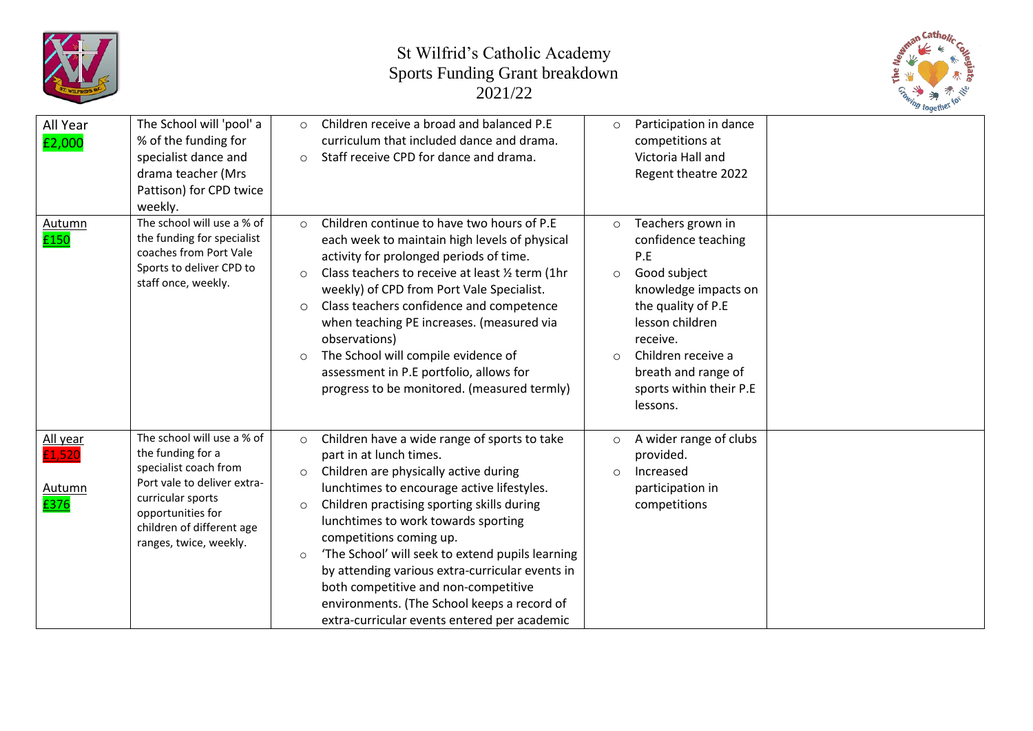



| All Year<br>£2,000                          | The School will 'pool' a<br>% of the funding for<br>specialist dance and<br>drama teacher (Mrs<br>Pattison) for CPD twice<br>weekly.                                                                     | $\circ$<br>$\circ$                       | Children receive a broad and balanced P.E<br>curriculum that included dance and drama.<br>Staff receive CPD for dance and drama.                                                                                                                                                                                                                                                                                                                                                                                             | $\circ$             | Participation in dance<br>competitions at<br>Victoria Hall and<br>Regent theatre 2022                                                                                                                                            |  |
|---------------------------------------------|----------------------------------------------------------------------------------------------------------------------------------------------------------------------------------------------------------|------------------------------------------|------------------------------------------------------------------------------------------------------------------------------------------------------------------------------------------------------------------------------------------------------------------------------------------------------------------------------------------------------------------------------------------------------------------------------------------------------------------------------------------------------------------------------|---------------------|----------------------------------------------------------------------------------------------------------------------------------------------------------------------------------------------------------------------------------|--|
| Autumn<br>£150                              | The school will use a % of<br>the funding for specialist<br>coaches from Port Vale<br>Sports to deliver CPD to<br>staff once, weekly.                                                                    | $\circ$<br>$\circ$<br>$\circ$<br>$\circ$ | Children continue to have two hours of P.E<br>each week to maintain high levels of physical<br>activity for prolonged periods of time.<br>Class teachers to receive at least 1/2 term (1hr<br>weekly) of CPD from Port Vale Specialist.<br>Class teachers confidence and competence<br>when teaching PE increases. (measured via<br>observations)<br>The School will compile evidence of<br>assessment in P.E portfolio, allows for<br>progress to be monitored. (measured termly)                                           | $\circ$<br>$\circ$  | Teachers grown in<br>confidence teaching<br>P.E<br>Good subject<br>knowledge impacts on<br>the quality of P.E<br>lesson children<br>receive.<br>Children receive a<br>breath and range of<br>sports within their P.E<br>lessons. |  |
| All year<br>£1,520<br><b>Autumn</b><br>£376 | The school will use a % of<br>the funding for a<br>specialist coach from<br>Port vale to deliver extra-<br>curricular sports<br>opportunities for<br>children of different age<br>ranges, twice, weekly. | $\circ$<br>$\circ$<br>$\circ$<br>$\circ$ | Children have a wide range of sports to take<br>part in at lunch times.<br>Children are physically active during<br>lunchtimes to encourage active lifestyles.<br>Children practising sporting skills during<br>lunchtimes to work towards sporting<br>competitions coming up.<br>'The School' will seek to extend pupils learning<br>by attending various extra-curricular events in<br>both competitive and non-competitive<br>environments. (The School keeps a record of<br>extra-curricular events entered per academic | $\circ$<br>$\Omega$ | A wider range of clubs<br>provided.<br>Increased<br>participation in<br>competitions                                                                                                                                             |  |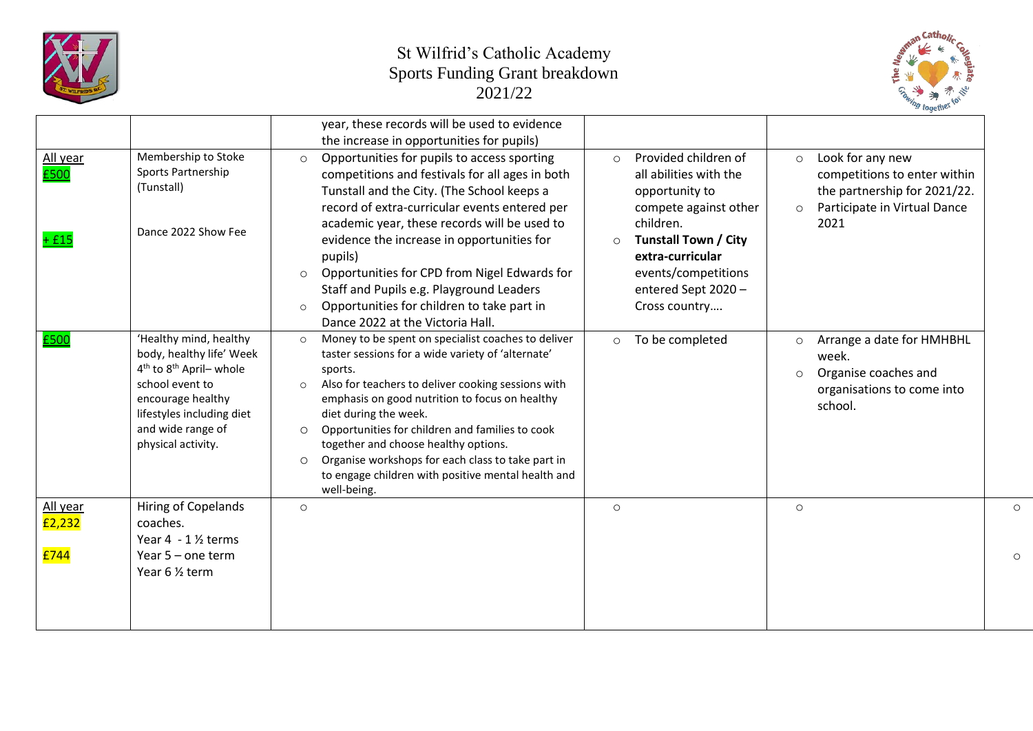



|                    |                                                                                                                                                                                                                       | year, these records will be used to evidence<br>the increase in opportunities for pupils)                                                                                                                                                                                                                                                                                                                                                                                                                            |                                                                                                                           |                                                                                                                                                |         |
|--------------------|-----------------------------------------------------------------------------------------------------------------------------------------------------------------------------------------------------------------------|----------------------------------------------------------------------------------------------------------------------------------------------------------------------------------------------------------------------------------------------------------------------------------------------------------------------------------------------------------------------------------------------------------------------------------------------------------------------------------------------------------------------|---------------------------------------------------------------------------------------------------------------------------|------------------------------------------------------------------------------------------------------------------------------------------------|---------|
| All year<br>£500   | Membership to Stoke<br>Sports Partnership<br>(Tunstall)<br>Dance 2022 Show Fee                                                                                                                                        | Opportunities for pupils to access sporting<br>$\Omega$<br>competitions and festivals for all ages in both<br>Tunstall and the City. (The School keeps a<br>record of extra-curricular events entered per<br>academic year, these records will be used to                                                                                                                                                                                                                                                            | Provided children of<br>$\circ$<br>all abilities with the<br>opportunity to<br>compete against other<br>children.         | Look for any new<br>$\circ$<br>competitions to enter within<br>the partnership for 2021/22.<br>Participate in Virtual Dance<br>$\circ$<br>2021 |         |
| $+$ £15            |                                                                                                                                                                                                                       | evidence the increase in opportunities for<br>pupils)<br>Opportunities for CPD from Nigel Edwards for<br>$\circ$<br>Staff and Pupils e.g. Playground Leaders<br>Opportunities for children to take part in<br>$\circ$<br>Dance 2022 at the Victoria Hall.                                                                                                                                                                                                                                                            | <b>Tunstall Town / City</b><br>$\circ$<br>extra-curricular<br>events/competitions<br>entered Sept 2020 -<br>Cross country |                                                                                                                                                |         |
| £500               | 'Healthy mind, healthy<br>body, healthy life' Week<br>4 <sup>th</sup> to 8 <sup>th</sup> April- whole<br>school event to<br>encourage healthy<br>lifestyles including diet<br>and wide range of<br>physical activity. | Money to be spent on specialist coaches to deliver<br>$\circ$<br>taster sessions for a wide variety of 'alternate'<br>sports.<br>Also for teachers to deliver cooking sessions with<br>$\circ$<br>emphasis on good nutrition to focus on healthy<br>diet during the week.<br>Opportunities for children and families to cook<br>$\circ$<br>together and choose healthy options.<br>Organise workshops for each class to take part in<br>$\circ$<br>to engage children with positive mental health and<br>well-being. | To be completed<br>$\circ$                                                                                                | Arrange a date for HMHBHL<br>$\circ$<br>week.<br>Organise coaches and<br>$\circ$<br>organisations to come into<br>school.                      |         |
| All year<br>£2,232 | Hiring of Copelands<br>coaches.<br>Year 4 - 1 1/2 terms                                                                                                                                                               | $\circ$                                                                                                                                                                                                                                                                                                                                                                                                                                                                                                              | $\circ$                                                                                                                   | $\circ$                                                                                                                                        | $\circ$ |
| £744               | Year $5$ – one term<br>Year 6 1/2 term                                                                                                                                                                                |                                                                                                                                                                                                                                                                                                                                                                                                                                                                                                                      |                                                                                                                           |                                                                                                                                                | $\circ$ |